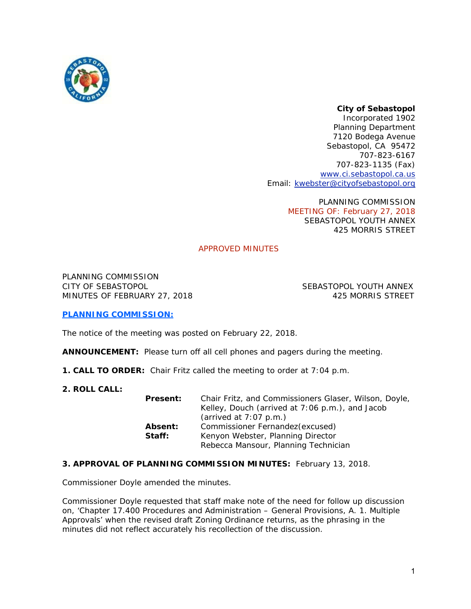

# *City of Sebastopol*

*Incorporated 1902*  Planning Department 7120 Bodega Avenue Sebastopol, CA 95472 707-823-6167 707-823-1135 (Fax) www.ci.sebastopol.ca.us Email: kwebster@cityofsebastopol.org

> PLANNING COMMISSION MEETING OF: February 27, 2018 SEBASTOPOL YOUTH ANNEX 425 MORRIS STREET

# APPROVED MINUTES

PLANNING COMMISSION CITY OF SEBASTOPOL SEBASTOPOL YOUTH ANNEX MINUTES OF FEBRUARY 27, 2018 425 MORRIS STREET

# **PLANNING COMMISSION:**

The notice of the meeting was posted on February 22, 2018.

**ANNOUNCEMENT:** Please turn off all cell phones and pagers during the meeting.

- **1. CALL TO ORDER:** Chair Fritz called the meeting to order at 7:04 p.m.
- **2. ROLL CALL:**

| <b>Present:</b>   | Chair Fritz, and Commissioners Glaser, Wilson, Doyle,<br>Kelley, Douch (arrived at 7:06 p.m.), and Jacob<br>(arrived at $7:07$ p.m.) |
|-------------------|--------------------------------------------------------------------------------------------------------------------------------------|
| Absent:<br>Staff: | Commissioner Fernandez (excused)<br>Kenyon Webster, Planning Director<br>Rebecca Mansour, Planning Technician                        |

# **3. APPROVAL OF PLANNING COMMISSION MINUTES:** February 13, 2018.

Commissioner Doyle amended the minutes.

Commissioner Doyle requested that staff make note of the need for follow up discussion on, 'Chapter 17.400 Procedures and Administration – General Provisions, A. 1. Multiple Approvals' when the revised draft Zoning Ordinance returns, as the phrasing in the minutes did not reflect accurately his recollection of the discussion.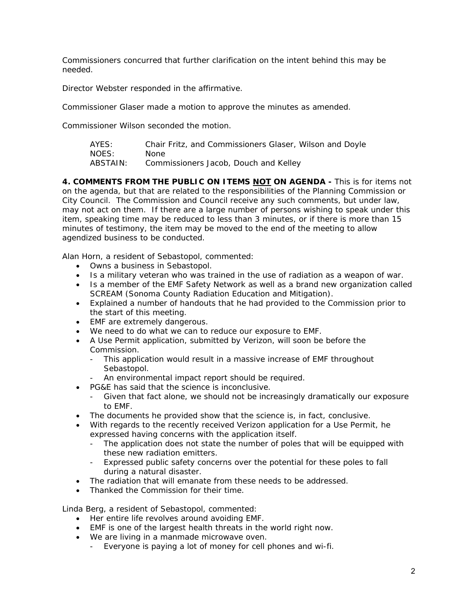Commissioners concurred that further clarification on the intent behind this may be needed.

Director Webster responded in the affirmative.

Commissioner Glaser made a motion to approve the minutes as amended.

Commissioner Wilson seconded the motion.

| AYES:    | Chair Fritz, and Commissioners Glaser, Wilson and Doyle |
|----------|---------------------------------------------------------|
| NOES:    | None                                                    |
| ABSTAIN: | Commissioners Jacob, Douch and Kelley                   |

**4. COMMENTS FROM THE PUBLIC ON ITEMS NOT ON AGENDA -** This is for items *not* on the agenda, but that are related to the responsibilities of the Planning Commission or City Council. The Commission and Council receive any such comments, but under law, may not act on them. If there are a large number of persons wishing to speak under this item, speaking time may be reduced to less than 3 minutes, or if there is more than 15 minutes of testimony, the item may be moved to the end of the meeting to allow agendized business to be conducted.

Alan Horn, a resident of Sebastopol, commented:

- Owns a business in Sebastopol.
- Is a military veteran who was trained in the use of radiation as a weapon of war.
- Is a member of the EMF Safety Network as well as a brand new organization called SCREAM (Sonoma County Radiation Education and Mitigation).
- Explained a number of handouts that he had provided to the Commission prior to the start of this meeting.
- EMF are extremely dangerous.
- We need to do what we can to reduce our exposure to EMF.
- A Use Permit application, submitted by Verizon, will soon be before the Commission.
	- This application would result in a massive increase of EMF throughout Sebastopol.
	- An environmental impact report should be required.
- PG&E has said that the science is inconclusive.
	- Given that fact alone, we should not be increasingly dramatically our exposure to EMF.
- The documents he provided show that the science is, in fact, conclusive.
- With regards to the recently received Verizon application for a Use Permit, he expressed having concerns with the application itself.
	- The application does not state the number of poles that will be equipped with these new radiation emitters.
	- Expressed public safety concerns over the potential for these poles to fall during a natural disaster.
- The radiation that will emanate from these needs to be addressed.
- Thanked the Commission for their time.

Linda Berg, a resident of Sebastopol, commented:

- Her entire life revolves around avoiding EMF.
- EMF is one of the largest health threats in the world right now.
- We are living in a manmade microwave oven.
	- Everyone is paying a lot of money for cell phones and wi-fi.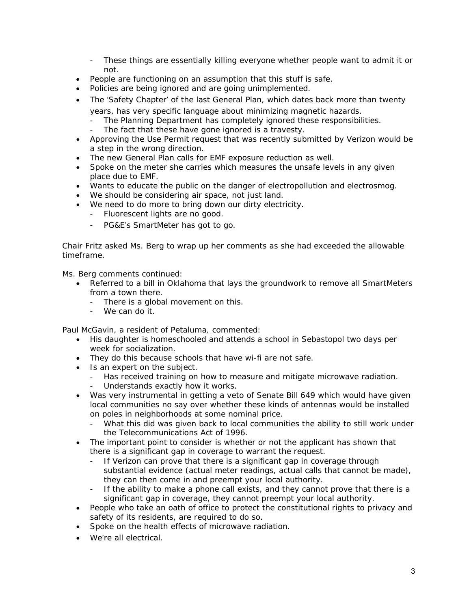- These things are essentially killing everyone whether people want to admit it or not.
- People are functioning on an assumption that this stuff is safe.
- Policies are being ignored and are going unimplemented.
- The 'Safety Chapter' of the last General Plan, which dates back more than twenty years, has very specific language about minimizing magnetic hazards.
	- The Planning Department has completely ignored these responsibilities.
	- The fact that these have gone ignored is a travesty.
- Approving the Use Permit request that was recently submitted by Verizon would be a step in the wrong direction.
- The new General Plan calls for EMF exposure reduction as well.
- Spoke on the meter she carries which measures the unsafe levels in any given place due to EMF.
- Wants to educate the public on the danger of electropollution and electrosmog.
- We should be considering air space, not just land.
- We need to do more to bring down our dirty electricity.
	- Fluorescent lights are no good.
	- PG&E's SmartMeter has got to go.

Chair Fritz asked Ms. Berg to wrap up her comments as she had exceeded the allowable timeframe.

Ms. Berg comments continued:

- Referred to a bill in Oklahoma that lays the groundwork to remove all SmartMeters from a town there.
	- There is a global movement on this.
	- We can do it.

Paul McGavin, a resident of Petaluma, commented:

- His daughter is homeschooled and attends a school in Sebastopol two days per week for socialization.
- They do this because schools that have wi-fi are not safe.
- Is an expert on the subject.
	- Has received training on how to measure and mitigate microwave radiation.
	- Understands exactly how it works.
- Was very instrumental in getting a veto of Senate Bill 649 which would have given local communities no say over whether these kinds of antennas would be installed on poles in neighborhoods at some nominal price.
	- What this did was given back to local communities the ability to still work under the Telecommunications Act of 1996.
- The important point to consider is whether or not the applicant has shown that there is a significant gap in coverage to warrant the request.
	- If Verizon can prove that there is a significant gap in coverage through substantial evidence (actual meter readings, actual calls that cannot be made), they can then come in and preempt your local authority.
	- If the ability to make a phone call exists, and they cannot prove that there is a significant gap in coverage, they cannot preempt your local authority.
- People who take an oath of office to protect the constitutional rights to privacy and safety of its residents, are required to do so.
- Spoke on the health effects of microwave radiation.
- We're all electrical.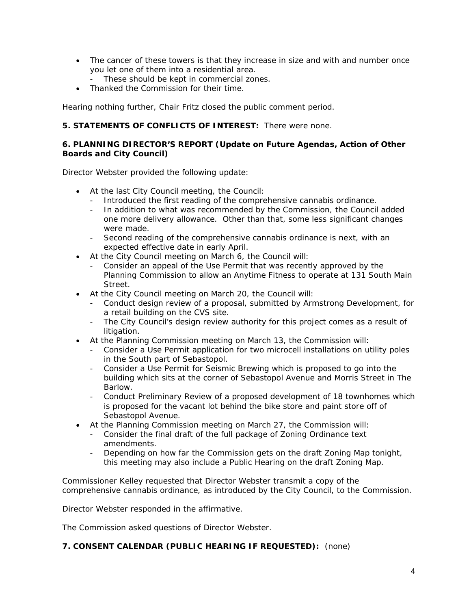- The cancer of these towers is that they increase in size and with and number once you let one of them into a residential area.
	- These should be kept in commercial zones.
- Thanked the Commission for their time.

Hearing nothing further, Chair Fritz closed the public comment period.

# **5. STATEMENTS OF CONFLICTS OF INTEREST:** There were none.

#### **6. PLANNING DIRECTOR'S REPORT (Update on Future Agendas, Action of Other Boards and City Council)**

Director Webster provided the following update:

- At the last City Council meeting, the Council:
	- Introduced the first reading of the comprehensive cannabis ordinance.
	- In addition to what was recommended by the Commission, the Council added one more delivery allowance. Other than that, some less significant changes were made.
	- Second reading of the comprehensive cannabis ordinance is next, with an expected effective date in early April.
- At the City Council meeting on March 6, the Council will:
	- Consider an appeal of the Use Permit that was recently approved by the Planning Commission to allow an Anytime Fitness to operate at 131 South Main Street.
- At the City Council meeting on March 20, the Council will:
	- Conduct design review of a proposal, submitted by Armstrong Development, for a retail building on the CVS site.
	- The City Council's design review authority for this project comes as a result of litigation.
- At the Planning Commission meeting on March 13, the Commission will:
	- Consider a Use Permit application for two microcell installations on utility poles in the South part of Sebastopol.
	- Consider a Use Permit for Seismic Brewing which is proposed to go into the building which sits at the corner of Sebastopol Avenue and Morris Street in The Barlow.
	- Conduct Preliminary Review of a proposed development of 18 townhomes which is proposed for the vacant lot behind the bike store and paint store off of Sebastopol Avenue.
- At the Planning Commission meeting on March 27, the Commission will:
	- Consider the final draft of the full package of Zoning Ordinance text amendments.
	- Depending on how far the Commission gets on the draft Zoning Map tonight, this meeting may also include a Public Hearing on the draft Zoning Map.

Commissioner Kelley requested that Director Webster transmit a copy of the comprehensive cannabis ordinance, as introduced by the City Council, to the Commission.

Director Webster responded in the affirmative.

The Commission asked questions of Director Webster.

# **7. CONSENT CALENDAR (PUBLIC HEARING IF REQUESTED):** (none)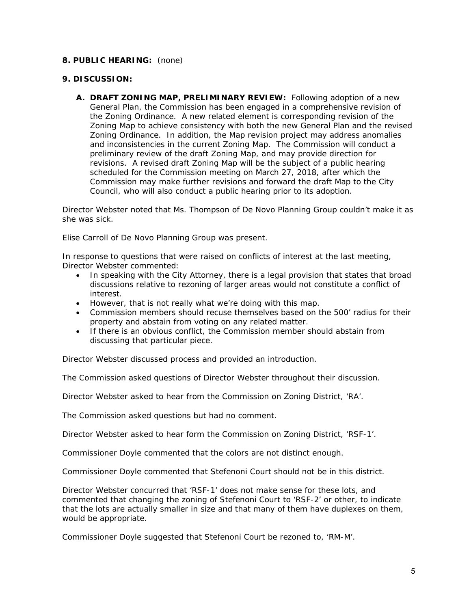#### **8. PUBLIC HEARING:** (none)

#### **9. DISCUSSION:**

**A. DRAFT ZONING MAP, PRELIMINARY REVIEW:** Following adoption of a new General Plan, the Commission has been engaged in a comprehensive revision of the Zoning Ordinance. A new related element is corresponding revision of the Zoning Map to achieve consistency with both the new General Plan and the revised Zoning Ordinance. In addition, the Map revision project may address anomalies and inconsistencies in the current Zoning Map. The Commission will conduct a preliminary review of the draft Zoning Map, and may provide direction for revisions. A revised draft Zoning Map will be the subject of a public hearing scheduled for the Commission meeting on March 27, 2018, after which the Commission may make further revisions and forward the draft Map to the City Council, who will also conduct a public hearing prior to its adoption.

Director Webster noted that Ms. Thompson of De Novo Planning Group couldn't make it as she was sick.

Elise Carroll of De Novo Planning Group was present.

In response to questions that were raised on conflicts of interest at the last meeting, Director Webster commented:

- In speaking with the City Attorney, there is a legal provision that states that broad discussions relative to rezoning of larger areas would not constitute a conflict of interest.
- However, that is not really what we're doing with this map.
- Commission members should recuse themselves based on the 500' radius for their property and abstain from voting on any related matter.
- If there is an obvious conflict, the Commission member should abstain from discussing that particular piece.

Director Webster discussed process and provided an introduction.

The Commission asked questions of Director Webster throughout their discussion.

Director Webster asked to hear from the Commission on Zoning District, 'RA'.

The Commission asked questions but had no comment.

Director Webster asked to hear form the Commission on Zoning District, 'RSF-1'.

Commissioner Doyle commented that the colors are not distinct enough.

Commissioner Doyle commented that Stefenoni Court should not be in this district.

Director Webster concurred that 'RSF-1' does not make sense for these lots, and commented that changing the zoning of Stefenoni Court to 'RSF-2' or other, to indicate that the lots are actually smaller in size and that many of them have duplexes on them, would be appropriate.

Commissioner Doyle suggested that Stefenoni Court be rezoned to, 'RM-M'.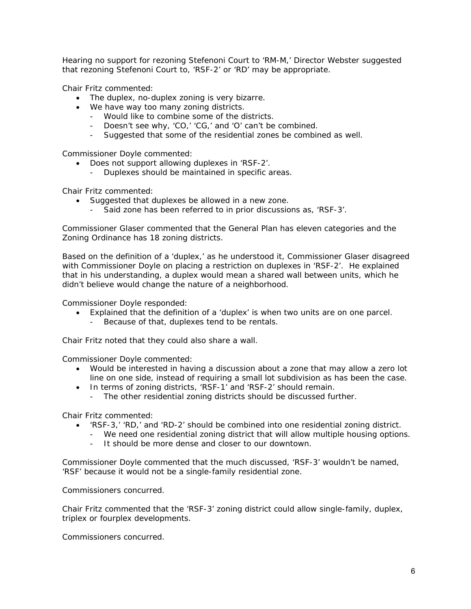Hearing no support for rezoning Stefenoni Court to 'RM-M,' Director Webster suggested that rezoning Stefenoni Court to, 'RSF-2' or 'RD' may be appropriate.

Chair Fritz commented:

- The duplex, no-duplex zoning is very bizarre.
- We have way too many zoning districts.
	- Would like to combine some of the districts.
	- Doesn't see why, 'CO,' 'CG,' and 'O' can't be combined.
	- Suggested that some of the residential zones be combined as well.

Commissioner Doyle commented:

- Does not support allowing duplexes in 'RSF-2'.
	- Duplexes should be maintained in specific areas.

Chair Fritz commented:

- Suggested that duplexes be allowed in a new zone.
	- Said zone has been referred to in prior discussions as, 'RSF-3'.

Commissioner Glaser commented that the General Plan has eleven categories and the Zoning Ordinance has 18 zoning districts.

Based on the definition of a 'duplex,' as he understood it, Commissioner Glaser disagreed with Commissioner Doyle on placing a restriction on duplexes in 'RSF-2'. He explained that in his understanding, a duplex would mean a shared wall between units, which he didn't believe would change the nature of a neighborhood.

Commissioner Doyle responded:

- Explained that the definition of a 'duplex' is when two units are on one parcel.
	- Because of that, duplexes tend to be rentals.

Chair Fritz noted that they could also share a wall.

Commissioner Doyle commented:

- Would be interested in having a discussion about a zone that may allow a zero lot line on one side, instead of requiring a small lot subdivision as has been the case.
- In terms of zoning districts, 'RSF-1' and 'RSF-2' should remain.
	- The other residential zoning districts should be discussed further.

Chair Fritz commented:

- 'RSF-3,' 'RD,' and 'RD-2' should be combined into one residential zoning district.
	- We need one residential zoning district that will allow multiple housing options.
	- It should be more dense and closer to our downtown.

Commissioner Doyle commented that the much discussed, 'RSF-3' wouldn't be named, 'RSF' because it would not be a single-family residential zone.

Commissioners concurred.

Chair Fritz commented that the 'RSF-3' zoning district could allow single-family, duplex, triplex or fourplex developments.

Commissioners concurred.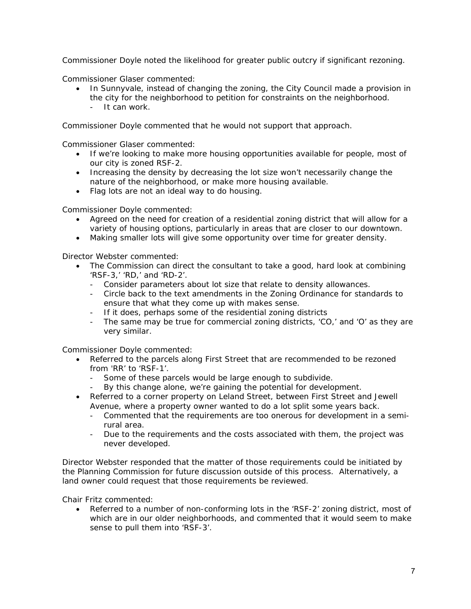Commissioner Doyle noted the likelihood for greater public outcry if significant rezoning.

Commissioner Glaser commented:

- In Sunnyvale, instead of changing the zoning, the City Council made a provision in the city for the neighborhood to petition for constraints on the neighborhood.
	- It can work.

Commissioner Doyle commented that he would not support that approach.

Commissioner Glaser commented:

- If we're looking to make more housing opportunities available for people, most of our city is zoned RSF-2.
- Increasing the density by decreasing the lot size won't necessarily change the nature of the neighborhood, or make more housing available.
- Flag lots are not an ideal way to do housing.

Commissioner Doyle commented:

- Agreed on the need for creation of a residential zoning district that will allow for a variety of housing options, particularly in areas that are closer to our downtown.
- Making smaller lots will give some opportunity over time for greater density.

Director Webster commented:

- The Commission can direct the consultant to take a good, hard look at combining 'RSF-3,' 'RD,' and 'RD-2'.
	- Consider parameters about lot size that relate to density allowances.
	- Circle back to the text amendments in the Zoning Ordinance for standards to ensure that what they come up with makes sense.
	- If it does, perhaps some of the residential zoning districts
	- The same may be true for commercial zoning districts, 'CO,' and 'O' as they are very similar.

Commissioner Doyle commented:

- Referred to the parcels along First Street that are recommended to be rezoned from 'RR' to 'RSF-1'.
	- Some of these parcels would be large enough to subdivide.
	- By this change alone, we're gaining the potential for development.
- Referred to a corner property on Leland Street, between First Street and Jewell Avenue, where a property owner wanted to do a lot split some years back.
	- Commented that the requirements are too onerous for development in a semirural area.
	- Due to the requirements and the costs associated with them, the project was never developed.

Director Webster responded that the matter of those requirements could be initiated by the Planning Commission for future discussion outside of this process. Alternatively, a land owner could request that those requirements be reviewed.

Chair Fritz commented:

 Referred to a number of non-conforming lots in the 'RSF-2' zoning district, most of which are in our older neighborhoods, and commented that it would seem to make sense to pull them into 'RSF-3'.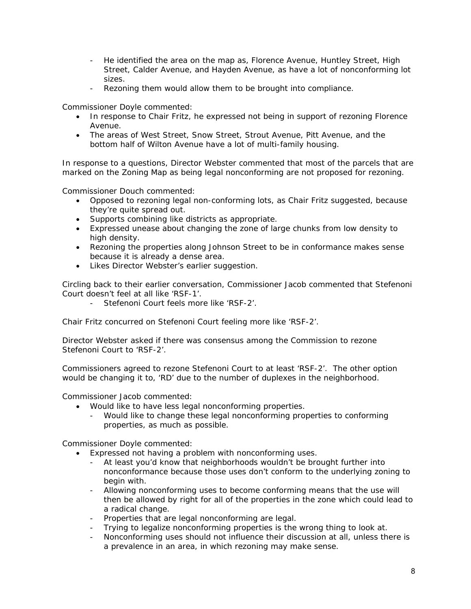- He identified the area on the map as, Florence Avenue, Huntley Street, High Street, Calder Avenue, and Hayden Avenue, as have a lot of nonconforming lot sizes.
- Rezoning them would allow them to be brought into compliance.

Commissioner Doyle commented:

- In response to Chair Fritz, he expressed not being in support of rezoning Florence Avenue.
- The areas of West Street, Snow Street, Strout Avenue, Pitt Avenue, and the bottom half of Wilton Avenue have a lot of multi-family housing.

In response to a questions, Director Webster commented that most of the parcels that are marked on the Zoning Map as being legal nonconforming are not proposed for rezoning.

Commissioner Douch commented:

- Opposed to rezoning legal non-conforming lots, as Chair Fritz suggested, because they're quite spread out.
- Supports combining like districts as appropriate.
- Expressed unease about changing the zone of large chunks from low density to high density.
- Rezoning the properties along Johnson Street to be in conformance makes sense because it is already a dense area.
- Likes Director Webster's earlier suggestion.

Circling back to their earlier conversation, Commissioner Jacob commented that Stefenoni Court doesn't feel at all like 'RSF-1'.

Stefenoni Court feels more like 'RSF-2'.

Chair Fritz concurred on Stefenoni Court feeling more like 'RSF-2'.

Director Webster asked if there was consensus among the Commission to rezone Stefenoni Court to 'RSF-2'.

Commissioners agreed to rezone Stefenoni Court to at least 'RSF-2'. The other option would be changing it to, 'RD' due to the number of duplexes in the neighborhood.

Commissioner Jacob commented:

- Would like to have less legal nonconforming properties.
	- Would like to change these legal nonconforming properties to conforming properties, as much as possible.

Commissioner Doyle commented:

- Expressed not having a problem with nonconforming uses.
	- At least you'd know that neighborhoods wouldn't be brought further into nonconformance because those uses don't conform to the underlying zoning to begin with.
	- Allowing nonconforming uses to become conforming means that the use will then be allowed by right for all of the properties in the zone which could lead to a radical change.
	- Properties that are legal nonconforming are legal.
	- Trying to legalize nonconforming properties is the wrong thing to look at.
	- Nonconforming uses should not influence their discussion at all, unless there is a prevalence in an area, in which rezoning may make sense.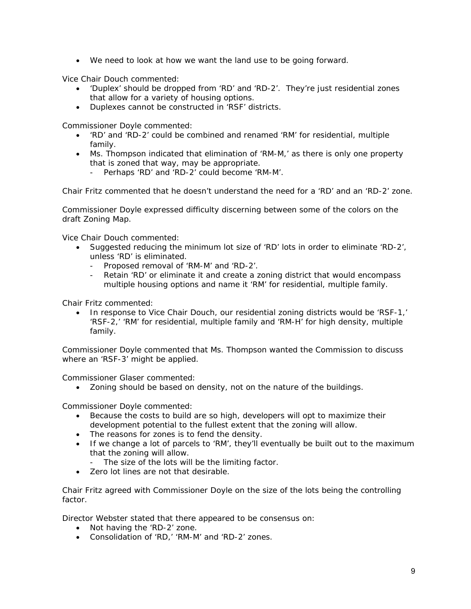We need to look at how we want the land use to be going forward.

Vice Chair Douch commented:

- 'Duplex' should be dropped from 'RD' and 'RD-2'. They're just residential zones that allow for a variety of housing options.
- Duplexes cannot be constructed in 'RSF' districts.

Commissioner Doyle commented:

- 'RD' and 'RD-2' could be combined and renamed 'RM' for residential, multiple family.
- Ms. Thompson indicated that elimination of 'RM-M,' as there is only one property that is zoned that way, may be appropriate.
	- Perhaps 'RD' and 'RD-2' could become 'RM-M'.

Chair Fritz commented that he doesn't understand the need for a 'RD' and an 'RD-2' zone.

Commissioner Doyle expressed difficulty discerning between some of the colors on the draft Zoning Map.

Vice Chair Douch commented:

- Suggested reducing the minimum lot size of 'RD' lots in order to eliminate 'RD-2', unless 'RD' is eliminated.
	- Proposed removal of 'RM-M' and 'RD-2'.
	- Retain 'RD' or eliminate it and create a zoning district that would encompass multiple housing options and name it 'RM' for residential, multiple family.

Chair Fritz commented:

 In response to Vice Chair Douch, our residential zoning districts would be 'RSF-1,' 'RSF-2,' 'RM' for residential, multiple family and 'RM-H' for high density, multiple family.

Commissioner Doyle commented that Ms. Thompson wanted the Commission to discuss where an 'RSF-3' might be applied.

Commissioner Glaser commented:

Zoning should be based on density, not on the nature of the buildings.

Commissioner Doyle commented:

- Because the costs to build are so high, developers will opt to maximize their development potential to the fullest extent that the zoning will allow.
- The reasons for zones is to fend the density.
- If we change a lot of parcels to 'RM', they'll eventually be built out to the maximum that the zoning will allow.
	- The size of the lots will be the limiting factor.
- Zero lot lines are not that desirable

Chair Fritz agreed with Commissioner Doyle on the size of the lots being the controlling factor.

Director Webster stated that there appeared to be consensus on:

- Not having the 'RD-2' zone.
- Consolidation of 'RD,' 'RM-M' and 'RD-2' zones.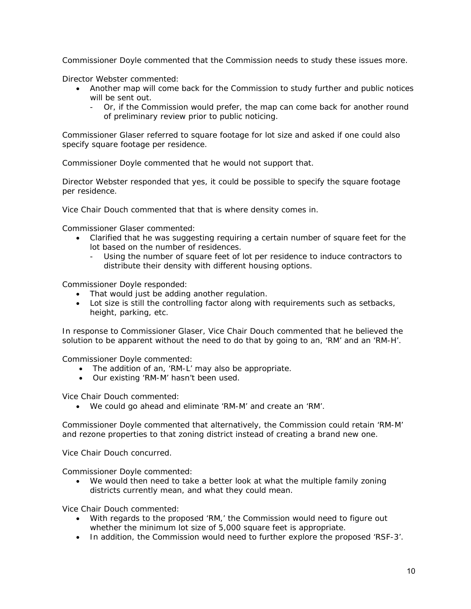Commissioner Doyle commented that the Commission needs to study these issues more.

Director Webster commented:

- Another map will come back for the Commission to study further and public notices will be sent out.
	- Or, if the Commission would prefer, the map can come back for another round of preliminary review prior to public noticing.

Commissioner Glaser referred to square footage for lot size and asked if one could also specify square footage per residence.

Commissioner Doyle commented that he would not support that.

Director Webster responded that yes, it could be possible to specify the square footage per residence.

Vice Chair Douch commented that that is where density comes in.

Commissioner Glaser commented:

- Clarified that he was suggesting requiring a certain number of square feet for the lot based on the number of residences.
	- Using the number of square feet of lot per residence to induce contractors to distribute their density with different housing options.

Commissioner Doyle responded:

- That would just be adding another regulation.
- Lot size is still the controlling factor along with requirements such as setbacks, height, parking, etc.

In response to Commissioner Glaser, Vice Chair Douch commented that he believed the solution to be apparent without the need to do that by going to an, 'RM' and an 'RM-H'.

Commissioner Doyle commented:

- The addition of an, 'RM-L' may also be appropriate.
- Our existing 'RM-M' hasn't been used.

Vice Chair Douch commented:

We could go ahead and eliminate 'RM-M' and create an 'RM'.

Commissioner Doyle commented that alternatively, the Commission could retain 'RM-M' and rezone properties to that zoning district instead of creating a brand new one.

Vice Chair Douch concurred.

Commissioner Doyle commented:

 We would then need to take a better look at what the multiple family zoning districts currently mean, and what they could mean.

Vice Chair Douch commented:

- With regards to the proposed 'RM,' the Commission would need to figure out whether the minimum lot size of 5,000 square feet is appropriate.
- In addition, the Commission would need to further explore the proposed 'RSF-3'.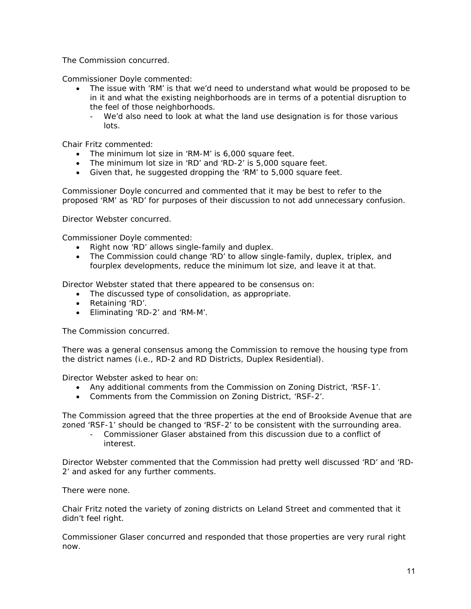The Commission concurred.

Commissioner Doyle commented:

- The issue with 'RM' is that we'd need to understand what would be proposed to be in it and what the existing neighborhoods are in terms of a potential disruption to the feel of those neighborhoods.
	- We'd also need to look at what the land use designation is for those various lots.

Chair Fritz commented:

- The minimum lot size in 'RM-M' is 6,000 square feet.
- The minimum lot size in 'RD' and 'RD-2' is 5,000 square feet.
- Given that, he suggested dropping the 'RM' to 5,000 square feet.

Commissioner Doyle concurred and commented that it may be best to refer to the proposed 'RM' as 'RD' for purposes of their discussion to not add unnecessary confusion.

Director Webster concurred.

Commissioner Doyle commented:

- Right now 'RD' allows single-family and duplex.
- The Commission could change 'RD' to allow single-family, duplex, triplex, and fourplex developments, reduce the minimum lot size, and leave it at that.

Director Webster stated that there appeared to be consensus on:

- The discussed type of consolidation, as appropriate.
- Retaining 'RD'.
- Eliminating 'RD-2' and 'RM-M'.

The Commission concurred.

There was a general consensus among the Commission to remove the housing type from the district names (i.e., RD-2 and RD Districts, Duplex Residential).

Director Webster asked to hear on:

- Any additional comments from the Commission on Zoning District, 'RSF-1'.
- Comments from the Commission on Zoning District, 'RSF-2'.

The Commission agreed that the three properties at the end of Brookside Avenue that are zoned 'RSF-1' should be changed to 'RSF-2' to be consistent with the surrounding area.

- Commissioner Glaser abstained from this discussion due to a conflict of interest.

Director Webster commented that the Commission had pretty well discussed 'RD' and 'RD-2' and asked for any further comments.

There were none.

Chair Fritz noted the variety of zoning districts on Leland Street and commented that it didn't feel right.

Commissioner Glaser concurred and responded that those properties are very rural right now.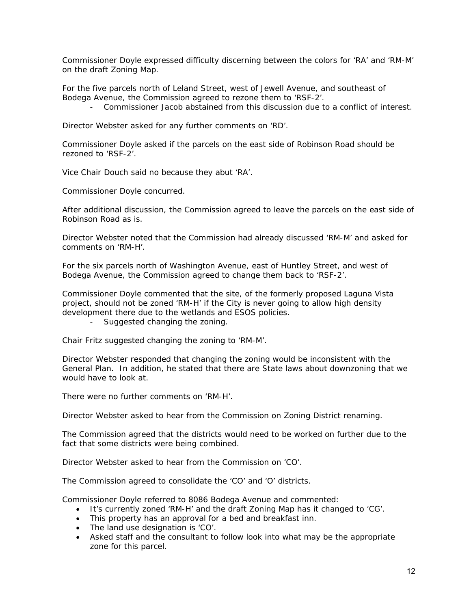Commissioner Doyle expressed difficulty discerning between the colors for 'RA' and 'RM-M' on the draft Zoning Map.

For the five parcels north of Leland Street, west of Jewell Avenue, and southeast of Bodega Avenue, the Commission agreed to rezone them to 'RSF-2'.

- Commissioner Jacob abstained from this discussion due to a conflict of interest.

Director Webster asked for any further comments on 'RD'.

Commissioner Doyle asked if the parcels on the east side of Robinson Road should be rezoned to 'RSF-2'.

Vice Chair Douch said no because they abut 'RA'.

Commissioner Doyle concurred.

After additional discussion, the Commission agreed to leave the parcels on the east side of Robinson Road as is.

Director Webster noted that the Commission had already discussed 'RM-M' and asked for comments on 'RM-H'.

For the six parcels north of Washington Avenue, east of Huntley Street, and west of Bodega Avenue, the Commission agreed to change them back to 'RSF-2'.

Commissioner Doyle commented that the site, of the formerly proposed Laguna Vista project, should not be zoned 'RM-H' if the City is never going to allow high density development there due to the wetlands and ESOS policies.

- Suggested changing the zoning.

Chair Fritz suggested changing the zoning to 'RM-M'.

Director Webster responded that changing the zoning would be inconsistent with the General Plan. In addition, he stated that there are State laws about downzoning that we would have to look at.

There were no further comments on 'RM-H'.

Director Webster asked to hear from the Commission on Zoning District renaming.

The Commission agreed that the districts would need to be worked on further due to the fact that some districts were being combined.

Director Webster asked to hear from the Commission on 'CO'.

The Commission agreed to consolidate the 'CO' and 'O' districts.

Commissioner Doyle referred to 8086 Bodega Avenue and commented:

- It's currently zoned 'RM-H' and the draft Zoning Map has it changed to 'CG'.
- This property has an approval for a bed and breakfast inn.
- The land use designation is 'CO'.
- Asked staff and the consultant to follow look into what may be the appropriate zone for this parcel.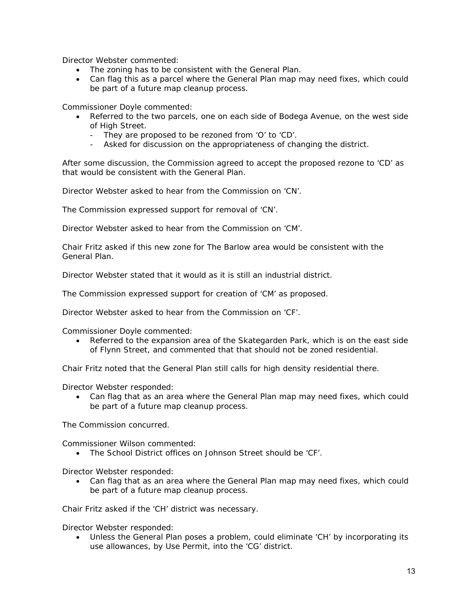Director Webster commented:

- The zoning has to be consistent with the General Plan.
- Can flag this as a parcel where the General Plan map may need fixes, which could be part of a future map cleanup process.

Commissioner Doyle commented:

- Referred to the two parcels, one on each side of Bodega Avenue, on the west side of High Street.
	- They are proposed to be rezoned from 'O' to 'CD'.
	- Asked for discussion on the appropriateness of changing the district.

After some discussion, the Commission agreed to accept the proposed rezone to 'CD' as that would be consistent with the General Plan.

Director Webster asked to hear from the Commission on 'CN'.

The Commission expressed support for removal of 'CN'.

Director Webster asked to hear from the Commission on 'CM'.

Chair Fritz asked if this new zone for The Barlow area would be consistent with the General Plan.

Director Webster stated that it would as it is still an industrial district.

The Commission expressed support for creation of 'CM' as proposed.

Director Webster asked to hear from the Commission on 'CF'.

Commissioner Doyle commented:

 Referred to the expansion area of the Skategarden Park, which is on the east side of Flynn Street, and commented that that should not be zoned residential.

Chair Fritz noted that the General Plan still calls for high density residential there.

Director Webster responded:

 Can flag that as an area where the General Plan map may need fixes, which could be part of a future map cleanup process.

The Commission concurred.

Commissioner Wilson commented:

The School District offices on Johnson Street should be 'CF'.

Director Webster responded:

 Can flag that as an area where the General Plan map may need fixes, which could be part of a future map cleanup process.

Chair Fritz asked if the 'CH' district was necessary.

Director Webster responded:

 Unless the General Plan poses a problem, could eliminate 'CH' by incorporating its use allowances, by Use Permit, into the 'CG' district.